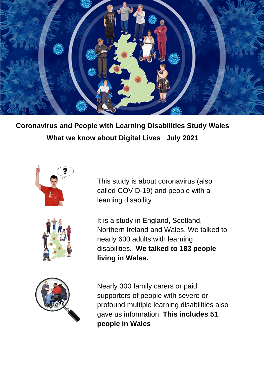

**Coronavirus and People with Learning Disabilities Study Wales What we know about Digital Lives July 2021**





This study is about coronavirus (also called COVID-19) and people with a learning disability

It is a study in England, Scotland, Northern Ireland and Wales. We talked to nearly 600 adults with learning disabilities**. We talked to 183 people living in Wales.**



Nearly 300 family carers or paid supporters of people with severe or profound multiple learning disabilities also gave us information. **This includes 51 people in Wales**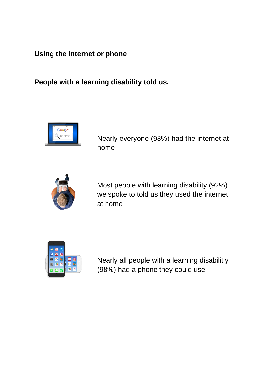**Using the internet or phone**

**People with a learning disability told us.** 



Nearly everyone (98%) had the internet at home



Most people with learning disability (92%) we spoke to told us they used the internet at home



Nearly all people with a learning disabilitiy (98%) had a phone they could use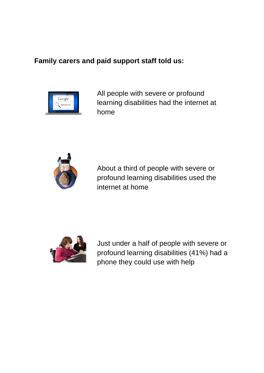#### **Family carers and paid support staff told us:**



All people with severe or profound learning disabilities had the internet at home



About a third of people with severe or profound learning disabilities used the internet at home



Just under a half of people with severe or profound learning disabilities (41%) had a phone they could use with help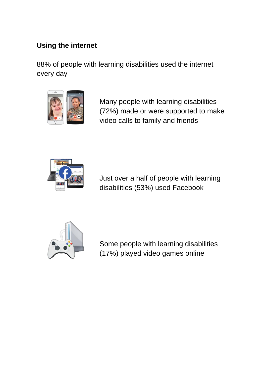# **Using the internet**

88% of people with learning disabilities used the internet every day



Many people with learning disabilities (72%) made or were supported to make video calls to family and friends



Just over a half of people with learning disabilities (53%) used Facebook



Some people with learning disabilities (17%) played video games online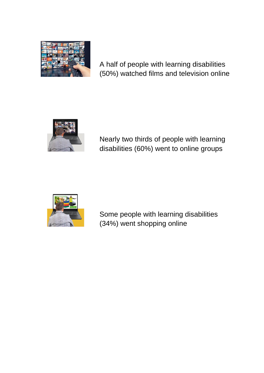

A half of people with learning disabilities (50%) watched films and television online



Nearly two thirds of people with learning disabilities (60%) went to online groups



Some people with learning disabilities (34%) went shopping online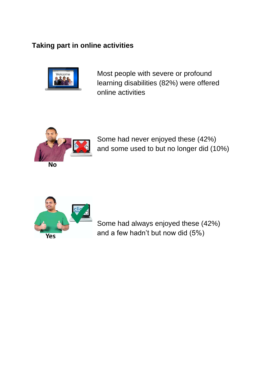# **Taking part in online activities**



Most people with severe or profound learning disabilities (82%) were offered online activities



Some had never enjoyed these (42%) and some used to but no longer did (10%)



Some had always enjoyed these (42%) and a few hadn't but now did (5%)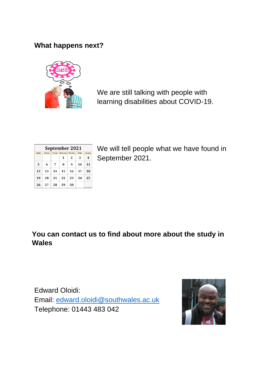# **What happens next?**



We are still talking with people with learning disabilities about COVID-19.

| September 2021 |        |         |           |                 |        |                        |
|----------------|--------|---------|-----------|-----------------|--------|------------------------|
| Sunday         | Monday | Tuesday | Wednesday | <b>Thursday</b> | Friday | Saturday               |
|                |        |         | 1         | 2               | 3      | 4                      |
| 5              | 6      | 7       | 8         | 9               | 10     | 11                     |
| 12             | 13     | 14      | 15        | 16              | 17     | 18                     |
| 19             | 20     | 21      | 22        | 23              | 24     | 25                     |
| 26             | 27     | 28      | 29        | 30              |        | AN MOLD AND SAN FRONTA |

We will tell people what we have found in September 2021.

# **You can contact us to find about more about the study in Wales**

Edward Oloidi: Email: [edward.oloidi@southwales.ac.uk](mailto:edward.oloidi@southwales.ac.uk) Telephone: 01443 483 042